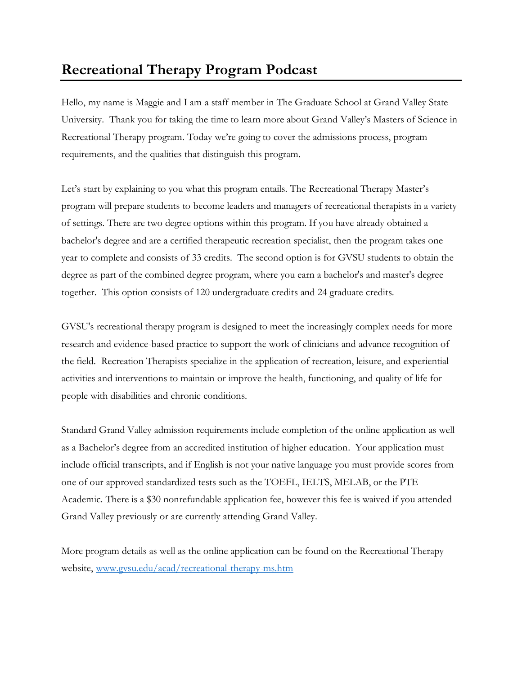## **Recreational Therapy Program Podcast**

Hello, my name is Maggie and I am a staff member in The Graduate School at Grand Valley State University. Thank you for taking the time to learn more about Grand Valley's Masters of Science in Recreational Therapy program. Today we're going to cover the admissions process, program requirements, and the qualities that distinguish this program.

Let's start by explaining to you what this program entails. The Recreational Therapy Master's program will prepare students to become leaders and managers of recreational therapists in a variety of settings. There are two degree options within this program. If you have already obtained a bachelor's degree and are a certified therapeutic recreation specialist, then the program takes one year to complete and consists of 33 credits. The second option is for GVSU students to obtain the degree as part of the combined degree program, where you earn a bachelor's and master's degree together. This option consists of 120 undergraduate credits and 24 graduate credits.

GVSU's recreational therapy program is designed to meet the increasingly complex needs for more research and evidence-based practice to support the work of clinicians and advance recognition of the field. Recreation Therapists specialize in the application of recreation, leisure, and experiential activities and interventions to maintain or improve the health, functioning, and quality of life for people with disabilities and chronic conditions.

Standard Grand Valley admission requirements include completion of the online application as well as a Bachelor's degree from an accredited institution of higher education. Your application must include official transcripts, and if English is not your native language you must provide scores from one of our approved standardized tests such as the TOEFL, IELTS, MELAB, or the PTE Academic. There is a \$30 nonrefundable application fee, however this fee is waived if you attended Grand Valley previously or are currently attending Grand Valley.

More program details as well as the online application can be found on the Recreational Therapy website, [www.gvsu.edu/acad/recreational-therapy-ms.htm](http://www.gvsu.edu/acad/recreational-therapy-ms.htm)